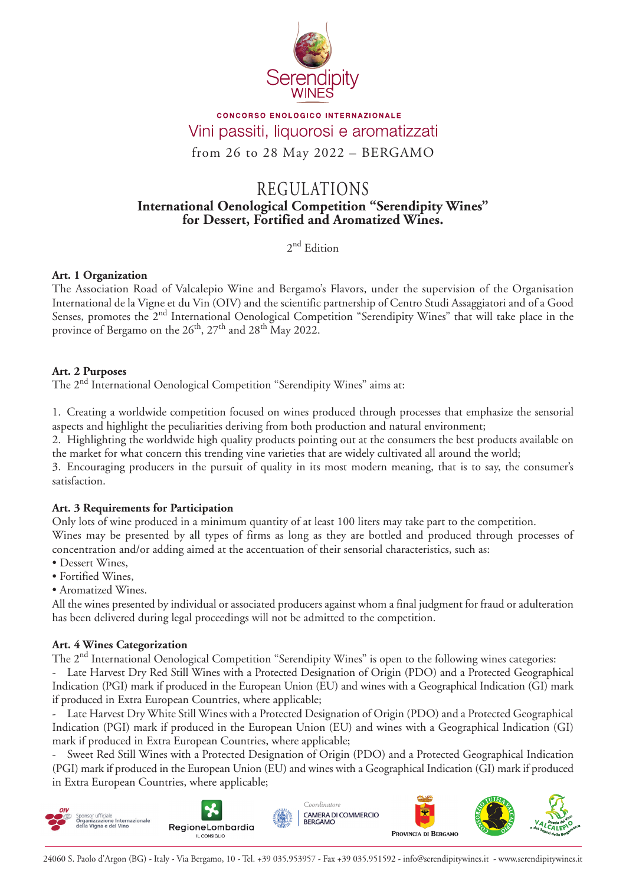

## **CONCORSO ENOLOGICO INTERNAZIONALE** Vini passiti, liquorosi e aromatizzati

from 26 to 28 May 2022 – BERGAMO

# **International Oenological Competition "Serendipity Wines" for Dessert, Fortified and Aromatized Wines.** REGULATIONS

2<sup>nd</sup> Edition

## **Art. 1 Organization**

The Association Road of Valcalepio Wine and Bergamo's Flavors, under the supervision of the Organisation International de la Vigne et du Vin (OIV) and the scientific partnership of Centro Studi Assaggiatori and of a Good Senses, promotes the 2<sup>nd</sup> International Oenological Competition "Serendipity Wines" that will take place in the province of Bergamo on the  $26<sup>th</sup>$ ,  $27<sup>th</sup>$  and  $28<sup>th</sup>$  May 2022.

## **Art. 2 Purposes**

The 2nd International Oenological Competition "Serendipity Wines" aims at:

1. Creating a worldwide competition focused on wines produced through processes that emphasize the sensorial aspects and highlight the peculiarities deriving from both production and natural environment;

2. Highlighting the worldwide high quality products pointing out at the consumers the best products available on the market for what concern this trending vine varieties that are widely cultivated all around the world;

3. Encouraging producers in the pursuit of quality in its most modern meaning, that is to say, the consumer's satisfaction.

## **Art. 3 Requirements for Participation**

Only lots of wine produced in a minimum quantity of at least 100 liters may take part to the competition. Wines may be presented by all types of firms as long as they are bottled and produced through processes of concentration and/or adding aimed at the accentuation of their sensorial characteristics, such as:

- Dessert Wines,
- Fortified Wines,
- Aromatized Wines.

All the wines presented by individual or associated producers against whom a final judgment for fraud or adulteration has been delivered during legal proceedings will not be admitted to the competition.

## **Art. 4 Wines Categorization**

The 2<sup>nd</sup> International Oenological Competition "Serendipity Wines" is open to the following wines categories:

- Late Harvest Dry Red Still Wines with a Protected Designation of Origin (PDO) and a Protected Geographical Indication (PGI) mark if produced in the European Union (EU) and wines with a Geographical Indication (GI) mark if produced in Extra European Countries, where applicable;

- Late Harvest Dry White Still Wines with a Protected Designation of Origin (PDO) and a Protected Geographical Indication (PGI) mark if produced in the European Union (EU) and wines with a Geographical Indication (GI) mark if produced in Extra European Countries, where applicable;

Sweet Red Still Wines with a Protected Designation of Origin (PDO) and a Protected Geographical Indication (PGI) mark if produced in the European Union (EU) and wines with a Geographical Indication (GI) mark if produced in Extra European Countries, where applicable;

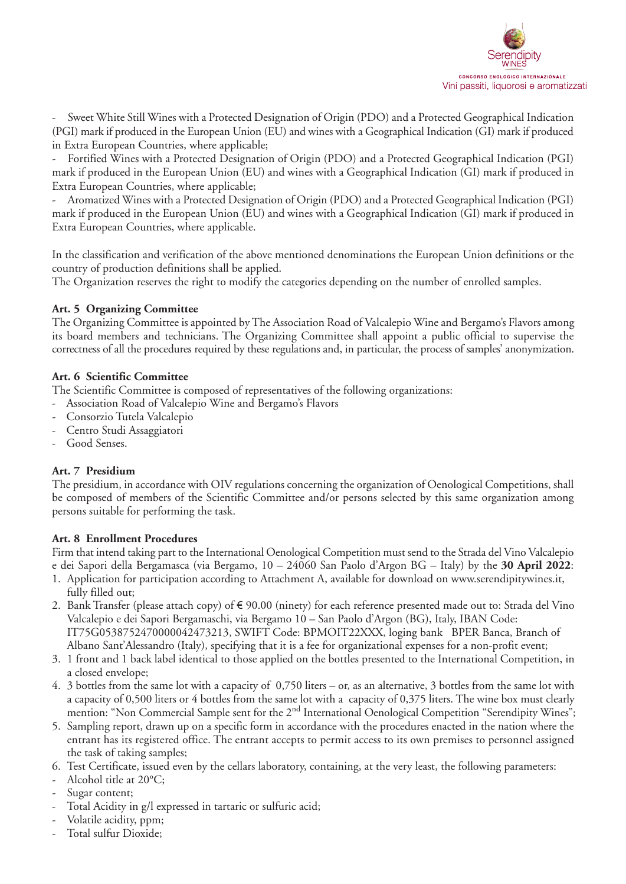

- Sweet White Still Wines with a Protected Designation of Origin (PDO) and a Protected Geographical Indication (PGI) mark if produced in the European Union (EU) and wines with a Geographical Indication (GI) mark if produced in Extra European Countries, where applicable;

- Fortified Wines with a Protected Designation of Origin (PDO) and a Protected Geographical Indication (PGI) mark if produced in the European Union (EU) and wines with a Geographical Indication (GI) mark if produced in Extra European Countries, where applicable;

- Aromatized Wines with a Protected Designation of Origin (PDO) and a Protected Geographical Indication (PGI) mark if produced in the European Union (EU) and wines with a Geographical Indication (GI) mark if produced in Extra European Countries, where applicable.

In the classification and verification of the above mentioned denominations the European Union definitions or the country of production definitions shall be applied.

The Organization reserves the right to modify the categories depending on the number of enrolled samples.

## **Art. 5 Organizing Committee**

The Organizing Committee is appointed by The Association Road of Valcalepio Wine and Bergamo's Flavors among its board members and technicians. The Organizing Committee shall appoint a public official to supervise the correctness of all the procedures required by these regulations and, in particular, the process of samples' anonymization.

#### **Art. 6 Scientific Committee**

The Scientific Committee is composed of representatives of the following organizations:

- Association Road of Valcalepio Wine and Bergamo's Flavors
- Consorzio Tutela Valcalepio
- Centro Studi Assaggiatori
- Good Senses.

## **Art. 7 Presidium**

The presidium, in accordance with OIV regulations concerning the organization of Oenological Competitions, shall be composed of members of the Scientific Committee and/or persons selected by this same organization among persons suitable for performing the task.

#### **Art. 8 Enrollment Procedures**

Firm that intend taking part to the International Oenological Competition must send to the Strada del Vino Valcalepio e dei Sapori della Bergamasca (via Bergamo, 10 – 24060 San Paolo d'Argon BG – Italy) by the **30 April 2022**:

- 1. Application for participation according to Attachment A, available for download on www.serendipitywines.it, fully filled out;
- 2. Bank Transfer (please attach copy) of € 90.00 (ninety) for each reference presented made out to: Strada del Vino Valcalepio e dei Sapori Bergamaschi, via Bergamo 10 – San Paolo d'Argon (BG), Italy, IBAN Code: IT75G0538752470000042473213, SWIFT Code: BPMOIT22XXX, loging bank BPER Banca, Branch of Albano Sant'Alessandro (Italy), specifying that it is a fee for organizational expenses for a non-profit event;
- 3. 1 front and 1 back label identical to those applied on the bottles presented to the International Competition, in a closed envelope;
- 4. 3 bottles from the same lot with a capacity of 0,750 liters or, as an alternative, 3 bottles from the same lot with a capacity of 0,500 liters or 4 bottles from the same lot with a capacity of 0,375 liters. The wine box must clearly mention: "Non Commercial Sample sent for the 2<sup>nd</sup> International Oenological Competition "Serendipity Wines";
- 5. Sampling report, drawn up on a specific form in accordance with the procedures enacted in the nation where the entrant has its registered office. The entrant accepts to permit access to its own premises to personnel assigned the task of taking samples;
- 6. Test Certificate, issued even by the cellars laboratory, containing, at the very least, the following parameters:
- Alcohol title at 20°C;
- Sugar content;
- Total Acidity in g/l expressed in tartaric or sulfuric acid;
- Volatile acidity, ppm;
- Total sulfur Dioxide;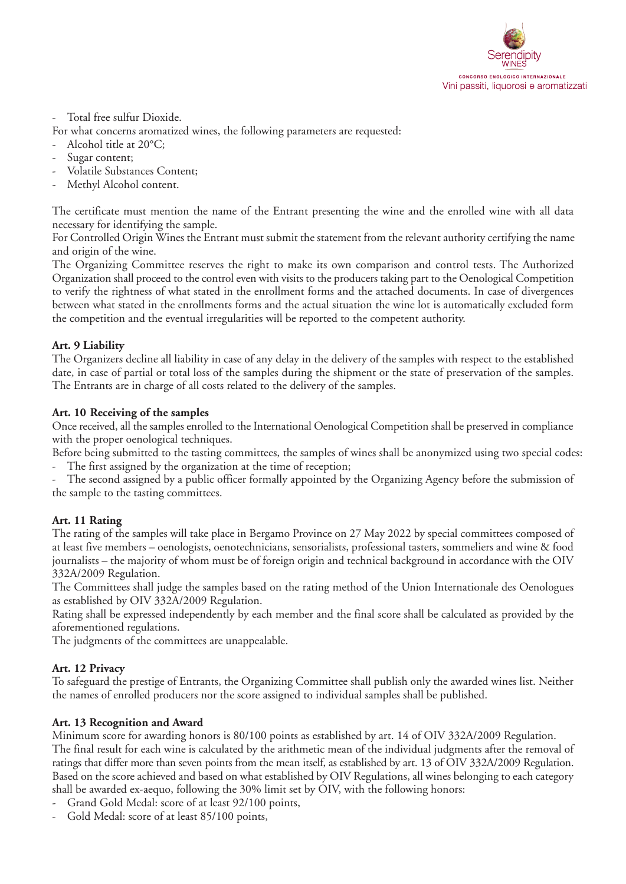

#### Total free sulfur Dioxide.

For what concerns aromatized wines, the following parameters are requested:

- Alcohol title at 20°C;
- Sugar content;
- Volatile Substances Content;
- Methyl Alcohol content.

The certificate must mention the name of the Entrant presenting the wine and the enrolled wine with all data necessary for identifying the sample.

For Controlled Origin Wines the Entrant must submit the statement from the relevant authority certifying the name and origin of the wine.

The Organizing Committee reserves the right to make its own comparison and control tests. The Authorized Organization shall proceed to the control even with visits to the producers taking part to the Oenological Competition to verify the rightness of what stated in the enrollment forms and the attached documents. In case of divergences between what stated in the enrollments forms and the actual situation the wine lot is automatically excluded form the competition and the eventual irregularities will be reported to the competent authority.

## **Art. 9 Liability**

The Organizers decline all liability in case of any delay in the delivery of the samples with respect to the established date, in case of partial or total loss of the samples during the shipment or the state of preservation of the samples. The Entrants are in charge of all costs related to the delivery of the samples.

## **Art. 10 Receiving of the samples**

Once received, all the samples enrolled to the International Oenological Competition shall be preserved in compliance with the proper oenological techniques.

Before being submitted to the tasting committees, the samples of wines shall be anonymized using two special codes:

- The first assigned by the organization at the time of reception;

The second assigned by a public officer formally appointed by the Organizing Agency before the submission of the sample to the tasting committees.

## **Art. 11 Rating**

The rating of the samples will take place in Bergamo Province on 27 May 2022 by special committees composed of at least five members – oenologists, oenotechnicians, sensorialists, professional tasters, sommeliers and wine & food journalists – the majority of whom must be of foreign origin and technical background in accordance with the OIV 332A/2009 Regulation.

The Committees shall judge the samples based on the rating method of the Union Internationale des Oenologues as established by OIV 332A/2009 Regulation.

Rating shall be expressed independently by each member and the final score shall be calculated as provided by the aforementioned regulations.

The judgments of the committees are unappealable.

## **Art. 12 Privacy**

To safeguard the prestige of Entrants, the Organizing Committee shall publish only the awarded wines list. Neither the names of enrolled producers nor the score assigned to individual samples shall be published.

#### **Art. 13 Recognition and Award**

Minimum score for awarding honors is 80/100 points as established by art. 14 of OIV 332A/2009 Regulation. The final result for each wine is calculated by the arithmetic mean of the individual judgments after the removal of ratings that differ more than seven points from the mean itself, as established by art. 13 of OIV 332A/2009 Regulation. Based on the score achieved and based on what established by OIV Regulations, all wines belonging to each category shall be awarded ex-aequo, following the 30% limit set by OIV, with the following honors:

- Grand Gold Medal: score of at least 92/100 points,
- Gold Medal: score of at least 85/100 points,